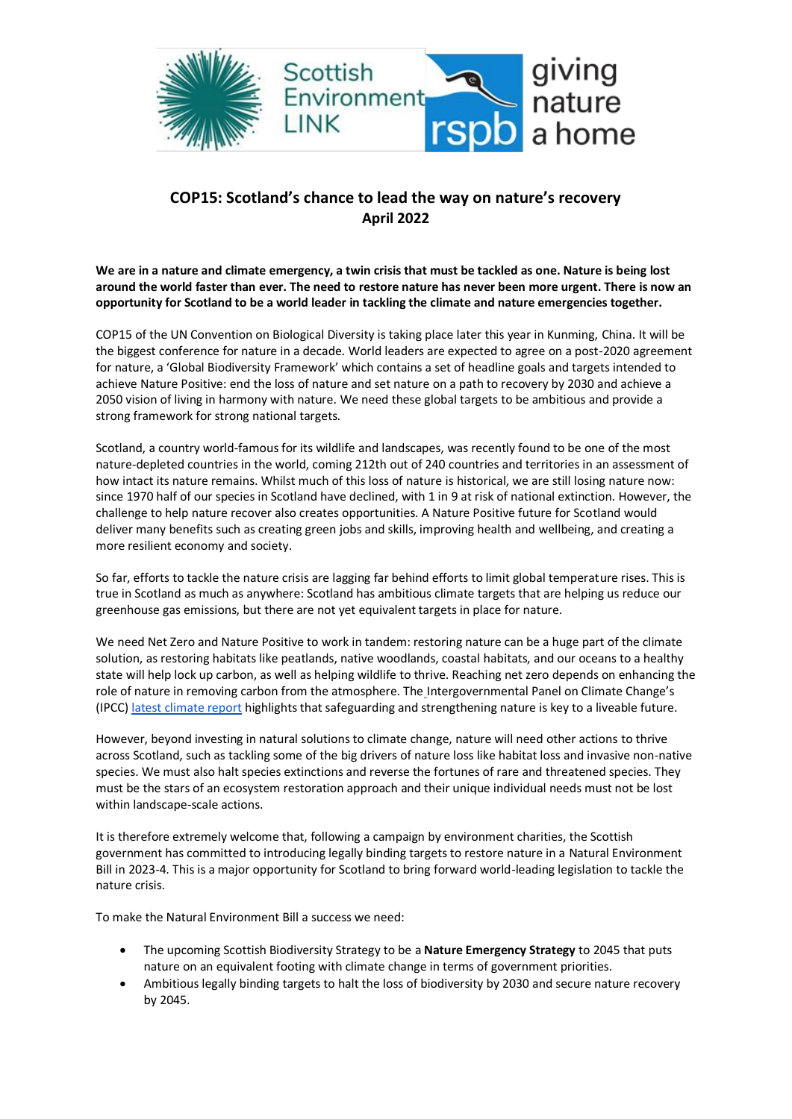

## **COP15: Scotland's chance to lead the way on nature's recovery April 2022**

**We are in a nature and climate emergency, a twin crisis that must be tackled as one. Nature is being lost around the world faster than ever. The need to restore nature has never been more urgent. There is now an opportunity for Scotland to be a world leader in tackling the climate and nature emergencies together.**

COP15 of the UN Convention on Biological Diversity is taking place later this year in Kunming, China. It will be the biggest conference for nature in a decade. World leaders are expected to agree on a post-2020 agreement for nature, a 'Global Biodiversity Framework' which contains a set of headline goals and targets intended to achieve Nature Positive: end the loss of nature and set nature on a path to recovery by 2030 and achieve a 2050 vision of living in harmony with nature. We need these global targets to be ambitious and provide a strong framework for strong national targets.

Scotland, a country world-famous for its wildlife and landscapes, was recently found to be one of the most nature-depleted countries in the world, coming 212th out of 240 countries and territories in an assessment of how intact its nature remains. Whilst much of this loss of nature is historical, we are still losing nature now: since 1970 half of our species in Scotland have declined, with 1 in 9 at risk of national extinction. However, the challenge to help nature recover also creates opportunities. A Nature Positive future for Scotland would deliver many benefits such as creating green jobs and skills, improving health and wellbeing, and creating a more resilient economy and society.

So far, efforts to tackle the nature crisis are lagging far behind efforts to limit global temperature rises. This is true in Scotland as much as anywhere: Scotland has ambitious climate targets that are helping us reduce our greenhouse gas emissions, but there are not yet equivalent targets in place for nature.

We need Net Zero and Nature Positive to work in tandem: restoring nature can be a huge part of the climate solution, as restoring habitats like peatlands, native woodlands, coastal habitats, and our oceans to a healthy state will help lock up carbon, as well as helping wildlife to thrive. Reaching net zero depends on enhancing the role of nature in removing carbon from the atmosphere. Th[e](https://www.ipcc.ch/report/ar6/wg3/) Intergovernmental Panel on Climate Change's (IPCC[\) latest climate report](https://www.ipcc.ch/report/ar6/wg3/) highlights that safeguarding and strengthening nature is key to a liveable future.

However, beyond investing in natural solutions to climate change, nature will need other actions to thrive across Scotland, such as tackling some of the big drivers of nature loss like habitat loss and invasive non-native species. We must also halt species extinctions and reverse the fortunes of rare and threatened species. They must be the stars of an ecosystem restoration approach and their unique individual needs must not be lost within landscape-scale actions.

It is therefore extremely welcome that, following a campaign by environment charities, the Scottish government has committed to introducing legally binding targets to restore nature in a Natural Environment Bill in 2023-4. This is a major opportunity for Scotland to bring forward world-leading legislation to tackle the nature crisis.

To make the Natural Environment Bill a success we need:

- The upcoming Scottish Biodiversity Strategy to be a **Nature Emergency Strategy** to 2045 that puts nature on an equivalent footing with climate change in terms of government priorities.
- Ambitious legally binding targets to halt the loss of biodiversity by 2030 and secure nature recovery by 2045.